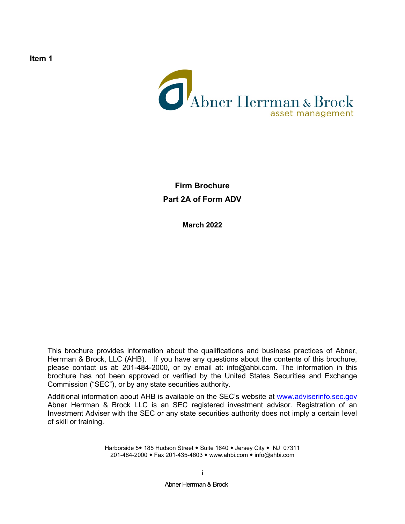

**Firm Brochure Part 2A of Form ADV**

**March 2022**

This brochure provides information about the qualifications and business practices of Abner, Herrman & Brock, LLC (AHB). If you have any questions about the contents of this brochure, please contact us at: 201-484-2000, or by email at: info@ahbi.com. The information in this brochure has not been approved or verified by the United States Securities and Exchange Commission ("SEC"), or by any state securities authority.

Additional information about AHB is available on the SEC's website at [www.adviserinfo.sec.gov](http://www.adviserinfo.sec.gov/) Abner Herrman & Brock LLC is an SEC registered investment advisor. Registration of an Investment Adviser with the SEC or any state securities authority does not imply a certain level of skill or training.

> Harborside 5 • 185 Hudson Street . Suite 1640 . Jersey City . NJ 07311 201-484-2000 • Fax 201-435-4603 • [www.ahbi.com](http://www.ahbi.com/) • info@ahbi.com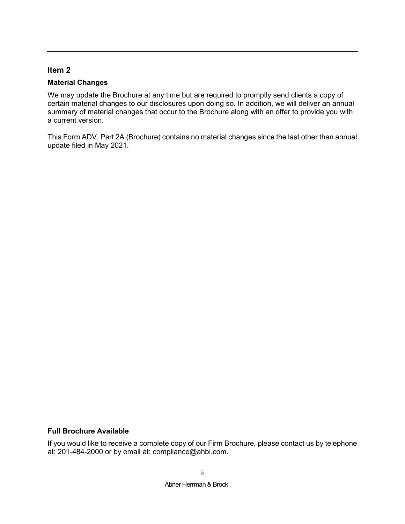### <span id="page-1-0"></span>**Material Changes**

We may update the Brochure at any time but are required to promptly send clients a copy of certain material changes to our disclosures upon doing so. In addition, we will deliver an annual summary of material changes that occur to the Brochure along with an offer to provide you with a current version.

This Form ADV, Part 2A (Brochure) contains no material changes since the last other than annual update filed in May 2021.

### **Full Brochure Available**

If you would like to receive a complete copy of our Firm Brochure, please contact us by telephone at: 201-484-2000 or by email at: compliance@ahbi.com.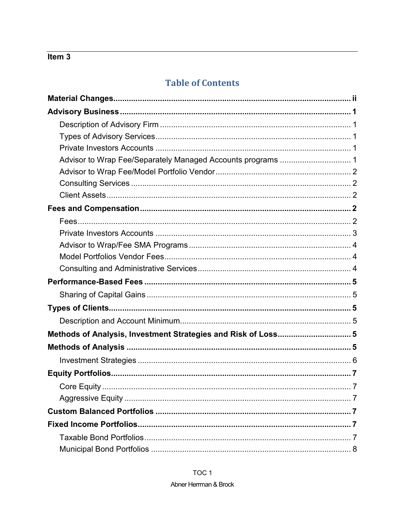# **Table of Contents**

| Advisor to Wrap Fee/Separately Managed Accounts programs  1   |
|---------------------------------------------------------------|
|                                                               |
|                                                               |
|                                                               |
|                                                               |
|                                                               |
|                                                               |
|                                                               |
|                                                               |
|                                                               |
|                                                               |
|                                                               |
|                                                               |
|                                                               |
|                                                               |
| Methods of Analysis, Investment Strategies and Risk of Loss 5 |
|                                                               |
|                                                               |
|                                                               |
|                                                               |
|                                                               |
|                                                               |
|                                                               |
|                                                               |

### TOC<sub>1</sub>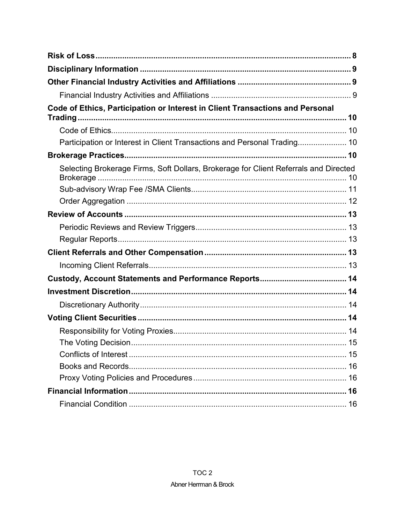| Code of Ethics, Participation or Interest in Client Transactions and Personal        |
|--------------------------------------------------------------------------------------|
|                                                                                      |
|                                                                                      |
| Participation or Interest in Client Transactions and Personal Trading 10             |
|                                                                                      |
| Selecting Brokerage Firms, Soft Dollars, Brokerage for Client Referrals and Directed |
|                                                                                      |
|                                                                                      |
|                                                                                      |
|                                                                                      |
|                                                                                      |
|                                                                                      |
|                                                                                      |
|                                                                                      |
|                                                                                      |
|                                                                                      |
|                                                                                      |
|                                                                                      |
|                                                                                      |
|                                                                                      |
|                                                                                      |
|                                                                                      |
|                                                                                      |
|                                                                                      |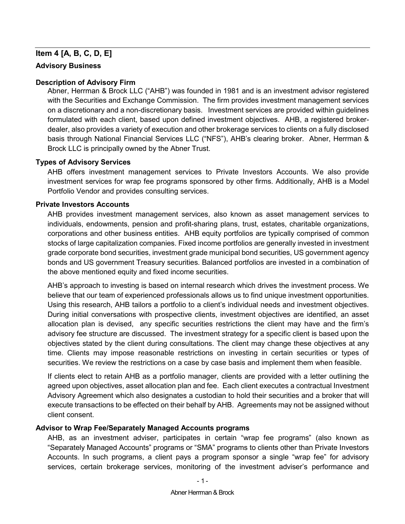## **Item 4 [A, B, C, D, E]**

### <span id="page-4-0"></span>**Advisory Business**

### <span id="page-4-1"></span>**Description of Advisory Firm**

Abner, Herrman & Brock LLC ("AHB") was founded in 1981 and is an investment advisor registered with the Securities and Exchange Commission. The firm provides investment management services on a discretionary and a non-discretionary basis. Investment services are provided within guidelines formulated with each client, based upon defined investment objectives. AHB, a registered brokerdealer, also provides a variety of execution and other brokerage services to clients on a fully disclosed basis through National Financial Services LLC ("NFS"), AHB's clearing broker. Abner, Herrman & Brock LLC is principally owned by the Abner Trust.

### <span id="page-4-2"></span>**Types of Advisory Services**

AHB offers investment management services to Private Investors Accounts. We also provide investment services for wrap fee programs sponsored by other firms. Additionally, AHB is a Model Portfolio Vendor and provides consulting services.

### <span id="page-4-3"></span>**Private Investors Accounts**

AHB provides investment management services, also known as asset management services to individuals, endowments, pension and profit-sharing plans, trust, estates, charitable organizations, corporations and other business entities. AHB equity portfolios are typically comprised of common stocks of large capitalization companies. Fixed income portfolios are generally invested in investment grade corporate bond securities, investment grade municipal bond securities, US government agency bonds and US government Treasury securities. Balanced portfolios are invested in a combination of the above mentioned equity and fixed income securities.

AHB's approach to investing is based on internal research which drives the investment process. We believe that our team of experienced professionals allows us to find unique investment opportunities. Using this research, AHB tailors a portfolio to a client's individual needs and investment objectives. During initial conversations with prospective clients, investment objectives are identified, an asset allocation plan is devised, any specific securities restrictions the client may have and the firm's advisory fee structure are discussed. The investment strategy for a specific client is based upon the objectives stated by the client during consultations. The client may change these objectives at any time. Clients may impose reasonable restrictions on investing in certain securities or types of securities. We review the restrictions on a case by case basis and implement them when feasible.

If clients elect to retain AHB as a portfolio manager, clients are provided with a letter outlining the agreed upon objectives, asset allocation plan and fee. Each client executes a contractual Investment Advisory Agreement which also designates a custodian to hold their securities and a broker that will execute transactions to be effected on their behalf by AHB. Agreements may not be assigned without client consent.

### <span id="page-4-4"></span>**Advisor to Wrap Fee/Separately Managed Accounts programs**

AHB, as an investment adviser, participates in certain "wrap fee programs" (also known as "Separately Managed Accounts" programs or "SMA" programs to clients other than Private Investors Accounts. In such programs, a client pays a program sponsor a single "wrap fee" for advisory services, certain brokerage services, monitoring of the investment adviser's performance and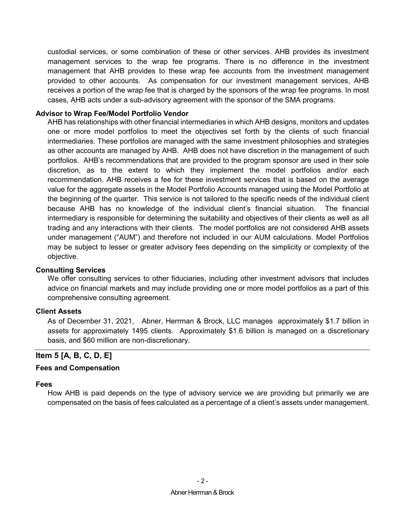custodial services, or some combination of these or other services. AHB provides its investment management services to the wrap fee programs. There is no difference in the investment management that AHB provides to these wrap fee accounts from the investment management provided to other accounts. As compensation for our investment management services, AHB receives a portion of the wrap fee that is charged by the sponsors of the wrap fee programs. In most cases, AHB acts under a sub-advisory agreement with the sponsor of the SMA programs.

### <span id="page-5-0"></span>**Advisor to Wrap Fee/Model Portfolio Vendor**

AHB has relationships with other financial intermediaries in which AHB designs, monitors and updates one or more model portfolios to meet the objectives set forth by the clients of such financial intermediaries. These portfolios are managed with the same investment philosophies and strategies as other accounts are managed by AHB. AHB does not have discretion in the management of such portfolios. AHB's recommendations that are provided to the program sponsor are used in their sole discretion, as to the extent to which they implement the model portfolios and/or each recommendation. AHB receives a fee for these investment services that is based on the average value for the aggregate assets in the Model Portfolio Accounts managed using the Model Portfolio at the beginning of the quarter. This service is not tailored to the specific needs of the individual client because AHB has no knowledge of the individual client's financial situation. The financial intermediary is responsible for determining the suitability and objectives of their clients as well as all trading and any interactions with their clients. The model portfolios are not considered AHB assets under management ("AUM") and therefore not included in our AUM calculations. Model Portfolios may be subject to lesser or greater advisory fees depending on the simplicity or complexity of the objective.

### <span id="page-5-1"></span>**Consulting Services**

We offer consulting services to other fiduciaries, including other investment advisors that includes advice on financial markets and may include providing one or more model portfolios as a part of this comprehensive consulting agreement.

### <span id="page-5-2"></span>**Client Assets**

As of December 31, 2021, Abner, Herrman & Brock, LLC manages approximately \$1.7 billion in assets for approximately 1495 clients. Approximately \$1.6 billion is managed on a discretionary basis, and \$60 million are non-discretionary.

### **Item 5 [A, B, C, D, E]**

### <span id="page-5-3"></span>**Fees and Compensation**

#### <span id="page-5-4"></span>**Fees**

How AHB is paid depends on the type of advisory service we are providing but primarily we are compensated on the basis of fees calculated as a percentage of a client's assets under management.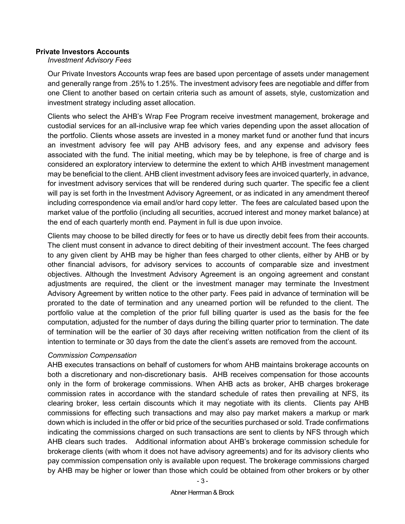### <span id="page-6-0"></span>**Private Investors Accounts**

*Investment Advisory Fees*

Our Private Investors Accounts wrap fees are based upon percentage of assets under management and generally range from .25% to 1.25%. The investment advisory fees are negotiable and differ from one Client to another based on certain criteria such as amount of assets, style, customization and investment strategy including asset allocation.

Clients who select the AHB's Wrap Fee Program receive investment management, brokerage and custodial services for an all-inclusive wrap fee which varies depending upon the asset allocation of the portfolio. Clients whose assets are invested in a money market fund or another fund that incurs an investment advisory fee will pay AHB advisory fees, and any expense and advisory fees associated with the fund. The initial meeting, which may be by telephone, is free of charge and is considered an exploratory interview to determine the extent to which AHB investment management may be beneficial to the client. AHB client investment advisory fees are invoiced quarterly, in advance, for investment advisory services that will be rendered during such quarter. The specific fee a client will pay is set forth in the Investment Advisory Agreement, or as indicated in any amendment thereof including correspondence via email and/or hard copy letter. The fees are calculated based upon the market value of the portfolio (including all securities, accrued interest and money market balance) at the end of each quarterly month end. Payment in full is due upon invoice.

Clients may choose to be billed directly for fees or to have us directly debit fees from their accounts. The client must consent in advance to direct debiting of their investment account. The fees charged to any given client by AHB may be higher than fees charged to other clients, either by AHB or by other financial advisors, for advisory services to accounts of comparable size and investment objectives. Although the Investment Advisory Agreement is an ongoing agreement and constant adjustments are required, the client or the investment manager may terminate the Investment Advisory Agreement by written notice to the other party. Fees paid in advance of termination will be prorated to the date of termination and any unearned portion will be refunded to the client. The portfolio value at the completion of the prior full billing quarter is used as the basis for the fee computation, adjusted for the number of days during the billing quarter prior to termination. The date of termination will be the earlier of 30 days after receiving written notification from the client of its intention to terminate or 30 days from the date the client's assets are removed from the account.

### *Commission Compensation*

AHB executes transactions on behalf of customers for whom AHB maintains brokerage accounts on both a discretionary and non-discretionary basis. AHB receives compensation for those accounts only in the form of brokerage commissions. When AHB acts as broker, AHB charges brokerage commission rates in accordance with the standard schedule of rates then prevailing at NFS, its clearing broker, less certain discounts which it may negotiate with its clients. Clients pay AHB commissions for effecting such transactions and may also pay market makers a markup or mark down which is included in the offer or bid price of the securities purchased or sold. Trade confirmations indicating the commissions charged on such transactions are sent to clients by NFS through which AHB clears such trades. Additional information about AHB's brokerage commission schedule for brokerage clients (with whom it does not have advisory agreements) and for its advisory clients who pay commission compensation only is available upon request. The brokerage commissions charged by AHB may be higher or lower than those which could be obtained from other brokers or by other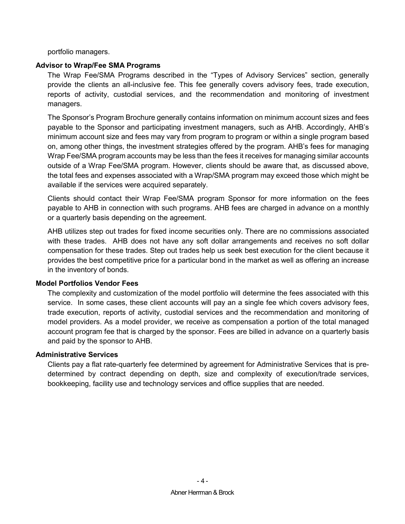portfolio managers.

### <span id="page-7-0"></span>**Advisor to Wrap/Fee SMA Programs**

The Wrap Fee/SMA Programs described in the "Types of Advisory Services" section, generally provide the clients an all-inclusive fee. This fee generally covers advisory fees, trade execution, reports of activity, custodial services, and the recommendation and monitoring of investment managers.

The Sponsor's Program Brochure generally contains information on minimum account sizes and fees payable to the Sponsor and participating investment managers, such as AHB. Accordingly, AHB's minimum account size and fees may vary from program to program or within a single program based on, among other things, the investment strategies offered by the program. AHB's fees for managing Wrap Fee/SMA program accounts may be less than the fees it receives for managing similar accounts outside of a Wrap Fee/SMA program. However, clients should be aware that, as discussed above, the total fees and expenses associated with a Wrap/SMA program may exceed those which might be available if the services were acquired separately.

Clients should contact their Wrap Fee/SMA program Sponsor for more information on the fees payable to AHB in connection with such programs. AHB fees are charged in advance on a monthly or a quarterly basis depending on the agreement.

AHB utilizes step out trades for fixed income securities only. There are no commissions associated with these trades. AHB does not have any soft dollar arrangements and receives no soft dollar compensation for these trades. Step out trades help us seek best execution for the client because it provides the best competitive price for a particular bond in the market as well as offering an increase in the inventory of bonds.

### <span id="page-7-1"></span>**Model Portfolios Vendor Fees**

The complexity and customization of the model portfolio will determine the fees associated with this service. In some cases, these client accounts will pay an a single fee which covers advisory fees, trade execution, reports of activity, custodial services and the recommendation and monitoring of model providers. As a model provider, we receive as compensation a portion of the total managed account program fee that is charged by the sponsor. Fees are billed in advance on a quarterly basis and paid by the sponsor to AHB.

### <span id="page-7-2"></span>**Administrative Services**

Clients pay a flat rate-quarterly fee determined by agreement for Administrative Services that is predetermined by contract depending on depth, size and complexity of execution/trade services, bookkeeping, facility use and technology services and office supplies that are needed.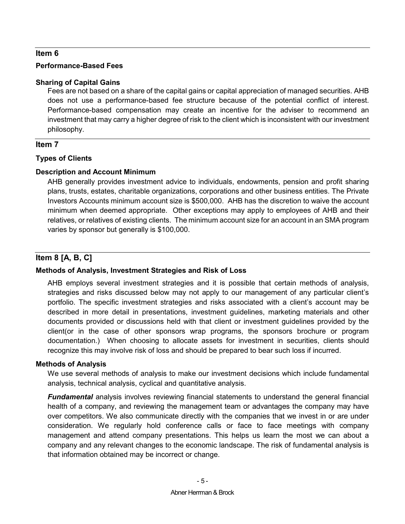### <span id="page-8-0"></span>**Performance-Based Fees**

### <span id="page-8-1"></span>**Sharing of Capital Gains**

Fees are not based on a share of the capital gains or capital appreciation of managed securities. AHB does not use a performance-based fee structure because of the potential conflict of interest. Performance-based compensation may create an incentive for the adviser to recommend an investment that may carry a higher degree of risk to the client which is inconsistent with our investment philosophy.

## **Item 7**

## <span id="page-8-2"></span>**Types of Clients**

## <span id="page-8-3"></span>**Description and Account Minimum**

AHB generally provides investment advice to individuals, endowments, pension and profit sharing plans, trusts, estates, charitable organizations, corporations and other business entities. The Private Investors Accounts minimum account size is \$500,000. AHB has the discretion to waive the account minimum when deemed appropriate. Other exceptions may apply to employees of AHB and their relatives, or relatives of existing clients. The minimum account size for an account in an SMA program varies by sponsor but generally is \$100,000.

## **Item 8 [A, B, C]**

## <span id="page-8-4"></span>**Methods of Analysis, Investment Strategies and Risk of Loss**

AHB employs several investment strategies and it is possible that certain methods of analysis, strategies and risks discussed below may not apply to our management of any particular client's portfolio. The specific investment strategies and risks associated with a client's account may be described in more detail in presentations, investment guidelines, marketing materials and other documents provided or discussions held with that client or investment guidelines provided by the client(or in the case of other sponsors wrap programs, the sponsors brochure or program documentation.) When choosing to allocate assets for investment in securities, clients should recognize this may involve risk of loss and should be prepared to bear such loss if incurred.

## <span id="page-8-5"></span>**Methods of Analysis**

We use several methods of analysis to make our investment decisions which include fundamental analysis, technical analysis, cyclical and quantitative analysis.

*Fundamental* analysis involves reviewing financial statements to understand the general financial health of a company, and reviewing the management team or advantages the company may have over competitors. We also communicate directly with the companies that we invest in or are under consideration. We regularly hold conference calls or face to face meetings with company management and attend company presentations. This helps us learn the most we can about a company and any relevant changes to the economic landscape. The risk of fundamental analysis is that information obtained may be incorrect or change.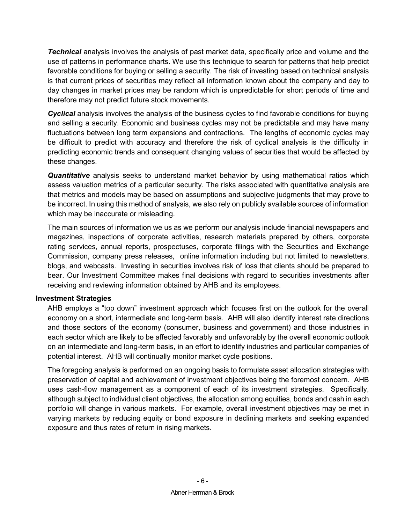*Technical* analysis involves the analysis of past market data, specifically price and volume and the use of patterns in performance charts. We use this technique to search for patterns that help predict favorable conditions for buying or selling a security. The risk of investing based on technical analysis is that current prices of securities may reflect all information known about the company and day to day changes in market prices may be random which is unpredictable for short periods of time and therefore may not predict future stock movements.

*Cyclical* analysis involves the analysis of the business cycles to find favorable conditions for buying and selling a security. Economic and business cycles may not be predictable and may have many fluctuations between long term expansions and contractions. The lengths of economic cycles may be difficult to predict with accuracy and therefore the risk of cyclical analysis is the difficulty in predicting economic trends and consequent changing values of securities that would be affected by these changes.

*Quantitative* analysis seeks to understand market behavior by using mathematical ratios which assess valuation metrics of a particular security. The risks associated with quantitative analysis are that metrics and models may be based on assumptions and subjective judgments that may prove to be incorrect. In using this method of analysis, we also rely on publicly available sources of information which may be inaccurate or misleading.

The main sources of information we us as we perform our analysis include financial newspapers and magazines, inspections of corporate activities, research materials prepared by others, corporate rating services, annual reports, prospectuses, corporate filings with the Securities and Exchange Commission, company press releases, online information including but not limited to newsletters, blogs, and webcasts. Investing in securities involves risk of loss that clients should be prepared to bear. Our Investment Committee makes final decisions with regard to securities investments after receiving and reviewing information obtained by AHB and its employees.

### <span id="page-9-0"></span>**Investment Strategies**

AHB employs a "top down" investment approach which focuses first on the outlook for the overall economy on a short, intermediate and long-term basis. AHB will also identify interest rate directions and those sectors of the economy (consumer, business and government) and those industries in each sector which are likely to be affected favorably and unfavorably by the overall economic outlook on an intermediate and long-term basis, in an effort to identify industries and particular companies of potential interest. AHB will continually monitor market cycle positions.

The foregoing analysis is performed on an ongoing basis to formulate asset allocation strategies with preservation of capital and achievement of investment objectives being the foremost concern. AHB uses cash-flow management as a component of each of its investment strategies. Specifically, although subject to individual client objectives, the allocation among equities, bonds and cash in each portfolio will change in various markets. For example, overall investment objectives may be met in varying markets by reducing equity or bond exposure in declining markets and seeking expanded exposure and thus rates of return in rising markets.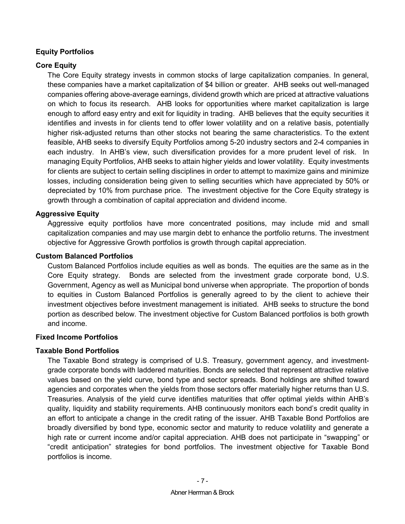## <span id="page-10-0"></span>**Equity Portfolios**

## <span id="page-10-1"></span>**Core Equity**

The Core Equity strategy invests in common stocks of large capitalization companies. In general, these companies have a market capitalization of \$4 billion or greater. AHB seeks out well-managed companies offering above-average earnings, dividend growth which are priced at attractive valuations on which to focus its research. AHB looks for opportunities where market capitalization is large enough to afford easy entry and exit for liquidity in trading. AHB believes that the equity securities it identifies and invests in for clients tend to offer lower volatility and on a relative basis, potentially higher risk-adjusted returns than other stocks not bearing the same characteristics. To the extent feasible, AHB seeks to diversify Equity Portfolios among 5-20 industry sectors and 2-4 companies in each industry. In AHB's view, such diversification provides for a more prudent level of risk. In managing Equity Portfolios, AHB seeks to attain higher yields and lower volatility. Equity investments for clients are subject to certain selling disciplines in order to attempt to maximize gains and minimize losses, including consideration being given to selling securities which have appreciated by 50% or depreciated by 10% from purchase price. The investment objective for the Core Equity strategy is growth through a combination of capital appreciation and dividend income.

### <span id="page-10-2"></span>**Aggressive Equity**

Aggressive equity portfolios have more concentrated positions, may include mid and small capitalization companies and may use margin debt to enhance the portfolio returns. The investment objective for Aggressive Growth portfolios is growth through capital appreciation.

### <span id="page-10-3"></span>**Custom Balanced Portfolios**

Custom Balanced Portfolios include equities as well as bonds. The equities are the same as in the Core Equity strategy. Bonds are selected from the investment grade corporate bond, U.S. Government, Agency as well as Municipal bond universe when appropriate. The proportion of bonds to equities in Custom Balanced Portfolios is generally agreed to by the client to achieve their investment objectives before investment management is initiated. AHB seeks to structure the bond portion as described below. The investment objective for Custom Balanced portfolios is both growth and income.

### <span id="page-10-4"></span>**Fixed Income Portfolios**

## <span id="page-10-5"></span>**Taxable Bond Portfolios**

The Taxable Bond strategy is comprised of U.S. Treasury, government agency, and investmentgrade corporate bonds with laddered maturities. Bonds are selected that represent attractive relative values based on the yield curve, bond type and sector spreads. Bond holdings are shifted toward agencies and corporates when the yields from those sectors offer materially higher returns than U.S. Treasuries. Analysis of the yield curve identifies maturities that offer optimal yields within AHB's quality, liquidity and stability requirements. AHB continuously monitors each bond's credit quality in an effort to anticipate a change in the credit rating of the issuer. AHB Taxable Bond Portfolios are broadly diversified by bond type, economic sector and maturity to reduce volatility and generate a high rate or current income and/or capital appreciation. AHB does not participate in "swapping" or "credit anticipation" strategies for bond portfolios. The investment objective for Taxable Bond portfolios is income.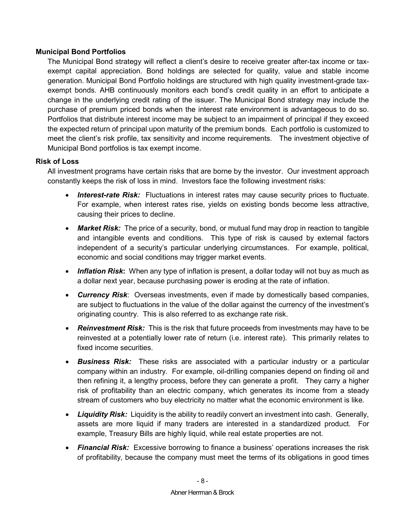### <span id="page-11-0"></span>**Municipal Bond Portfolios**

The Municipal Bond strategy will reflect a client's desire to receive greater after-tax income or taxexempt capital appreciation. Bond holdings are selected for quality, value and stable income generation. Municipal Bond Portfolio holdings are structured with high quality investment-grade taxexempt bonds. AHB continuously monitors each bond's credit quality in an effort to anticipate a change in the underlying credit rating of the issuer. The Municipal Bond strategy may include the purchase of premium priced bonds when the interest rate environment is advantageous to do so. Portfolios that distribute interest income may be subject to an impairment of principal if they exceed the expected return of principal upon maturity of the premium bonds. Each portfolio is customized to meet the client's risk profile, tax sensitivity and income requirements. The investment objective of Municipal Bond portfolios is tax exempt income.

### <span id="page-11-1"></span>**Risk of Loss**

All investment programs have certain risks that are borne by the investor. Our investment approach constantly keeps the risk of loss in mind. Investors face the following investment risks:

- *Interest-rate Risk:*Fluctuations in interest rates may cause security prices to fluctuate. For example, when interest rates rise, yields on existing bonds become less attractive, causing their prices to decline.
- *Market Risk:* The price of a security, bond, or mutual fund may drop in reaction to tangible and intangible events and conditions. This type of risk is caused by external factors independent of a security's particular underlying circumstances. For example, political, economic and social conditions may trigger market events.
- *Inflation Risk***:** When any type of inflation is present, a dollar today will not buy as much as a dollar next year, because purchasing power is eroding at the rate of inflation.
- *Currency Risk*: Overseas investments, even if made by domestically based companies, are subject to fluctuations in the value of the dollar against the currency of the investment's originating country. This is also referred to as exchange rate risk.
- *Reinvestment Risk:* This is the risk that future proceeds from investments may have to be reinvested at a potentially lower rate of return (i.e. interest rate). This primarily relates to fixed income securities.
- *Business Risk:* These risks are associated with a particular industry or a particular company within an industry. For example, oil-drilling companies depend on finding oil and then refining it, a lengthy process, before they can generate a profit. They carry a higher risk of profitability than an electric company, which generates its income from a steady stream of customers who buy electricity no matter what the economic environment is like.
- *Liquidity Risk:* Liquidity is the ability to readily convert an investment into cash. Generally, assets are more liquid if many traders are interested in a standardized product. For example, Treasury Bills are highly liquid, while real estate properties are not.
- *Financial Risk:* Excessive borrowing to finance a business' operations increases the risk of profitability, because the company must meet the terms of its obligations in good times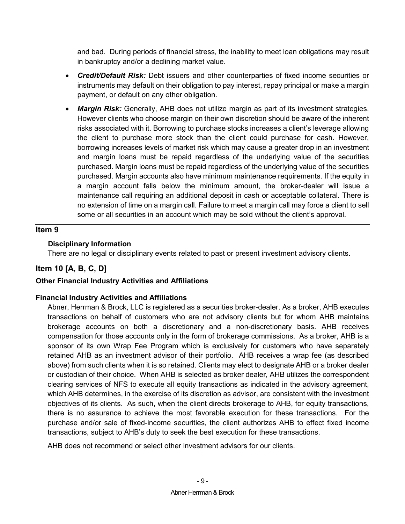and bad. During periods of financial stress, the inability to meet loan obligations may result in bankruptcy and/or a declining market value.

- *Credit/Default Risk:* Debt issuers and other counterparties of fixed income securities or instruments may default on their obligation to pay interest, repay principal or make a margin payment, or default on any other obligation.
- *Margin Risk:* Generally, AHB does not utilize margin as part of its investment strategies. However clients who choose margin on their own discretion should be aware of the inherent risks associated with it. Borrowing to purchase stocks increases a client's leverage allowing the client to purchase more stock than the client could purchase for cash. However, borrowing increases levels of market risk which may cause a greater drop in an investment and margin loans must be repaid regardless of the underlying value of the securities purchased. Margin loans must be repaid regardless of the underlying value of the securities purchased. Margin accounts also have minimum maintenance requirements. If the equity in a margin account falls below the minimum amount, the broker-dealer will issue a maintenance call requiring an additional deposit in cash or acceptable collateral. There is no extension of time on a margin call. Failure to meet a margin call may force a client to sell some or all securities in an account which may be sold without the client's approval.

## **Item 9**

## <span id="page-12-0"></span> **Disciplinary Information**

There are no legal or disciplinary events related to past or present investment advisory clients.

## **Item 10 [A, B, C, D]**

## <span id="page-12-1"></span>**Other Financial Industry Activities and Affiliations**

## <span id="page-12-2"></span>**Financial Industry Activities and Affiliations**

Abner, Herrman & Brock, LLC is registered as a securities broker-dealer. As a broker, AHB executes transactions on behalf of customers who are not advisory clients but for whom AHB maintains brokerage accounts on both a discretionary and a non-discretionary basis. AHB receives compensation for those accounts only in the form of brokerage commissions. As a broker, AHB is a sponsor of its own Wrap Fee Program which is exclusively for customers who have separately retained AHB as an investment advisor of their portfolio. AHB receives a wrap fee (as described above) from such clients when it is so retained. Clients may elect to designate AHB or a broker dealer or custodian of their choice. When AHB is selected as broker dealer, AHB utilizes the correspondent clearing services of NFS to execute all equity transactions as indicated in the advisory agreement, which AHB determines, in the exercise of its discretion as advisor, are consistent with the investment objectives of its clients. As such, when the client directs brokerage to AHB, for equity transactions, there is no assurance to achieve the most favorable execution for these transactions. For the purchase and/or sale of fixed-income securities, the client authorizes AHB to effect fixed income transactions, subject to AHB's duty to seek the best execution for these transactions.

AHB does not recommend or select other investment advisors for our clients.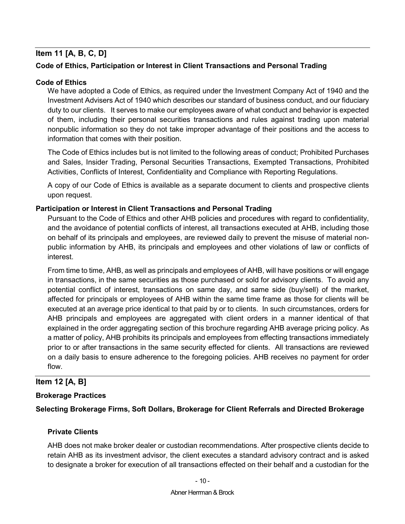## **Item 11 [A, B, C, D]**

## <span id="page-13-0"></span>**Code of Ethics, Participation or Interest in Client Transactions and Personal Trading**

### <span id="page-13-1"></span>**Code of Ethics**

We have adopted a Code of Ethics, as required under the Investment Company Act of 1940 and the Investment Advisers Act of 1940 which describes our standard of business conduct, and our fiduciary duty to our clients. It serves to make our employees aware of what conduct and behavior is expected of them, including their personal securities transactions and rules against trading upon material nonpublic information so they do not take improper advantage of their positions and the access to information that comes with their position.

The Code of Ethics includes but is not limited to the following areas of conduct; Prohibited Purchases and Sales, Insider Trading, Personal Securities Transactions, Exempted Transactions, Prohibited Activities, Conflicts of Interest, Confidentiality and Compliance with Reporting Regulations.

A copy of our Code of Ethics is available as a separate document to clients and prospective clients upon request.

### <span id="page-13-2"></span>**Participation or Interest in Client Transactions and Personal Trading**

Pursuant to the Code of Ethics and other AHB policies and procedures with regard to confidentiality, and the avoidance of potential conflicts of interest, all transactions executed at AHB, including those on behalf of its principals and employees, are reviewed daily to prevent the misuse of material nonpublic information by AHB, its principals and employees and other violations of law or conflicts of interest.

From time to time, AHB, as well as principals and employees of AHB, will have positions or will engage in transactions, in the same securities as those purchased or sold for advisory clients. To avoid any potential conflict of interest, transactions on same day, and same side (buy/sell) of the market, affected for principals or employees of AHB within the same time frame as those for clients will be executed at an average price identical to that paid by or to clients. In such circumstances, orders for AHB principals and employees are aggregated with client orders in a manner identical of that explained in the order aggregating section of this brochure regarding AHB average pricing policy. As a matter of policy, AHB prohibits its principals and employees from effecting transactions immediately prior to or after transactions in the same security effected for clients. All transactions are reviewed on a daily basis to ensure adherence to the foregoing policies. AHB receives no payment for order flow.

## **Item 12 [A, B]**

### <span id="page-13-3"></span>**Brokerage Practices**

<span id="page-13-4"></span>**Selecting Brokerage Firms, Soft Dollars, Brokerage for Client Referrals and Directed Brokerage**

### **Private Clients**

AHB does not make broker dealer or custodian recommendations. After prospective clients decide to retain AHB as its investment advisor, the client executes a standard advisory contract and is asked to designate a broker for execution of all transactions effected on their behalf and a custodian for the

#### Abner Herrman & Brock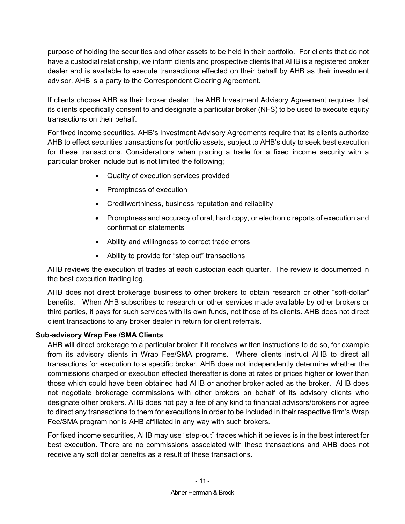purpose of holding the securities and other assets to be held in their portfolio. For clients that do not have a custodial relationship, we inform clients and prospective clients that AHB is a registered broker dealer and is available to execute transactions effected on their behalf by AHB as their investment advisor. AHB is a party to the Correspondent Clearing Agreement.

If clients choose AHB as their broker dealer, the AHB Investment Advisory Agreement requires that its clients specifically consent to and designate a particular broker (NFS) to be used to execute equity transactions on their behalf.

For fixed income securities, AHB's Investment Advisory Agreements require that its clients authorize AHB to effect securities transactions for portfolio assets, subject to AHB's duty to seek best execution for these transactions. Considerations when placing a trade for a fixed income security with a particular broker include but is not limited the following;

- Quality of execution services provided
- Promptness of execution
- Creditworthiness, business reputation and reliability
- Promptness and accuracy of oral, hard copy, or electronic reports of execution and confirmation statements
- Ability and willingness to correct trade errors
- Ability to provide for "step out" transactions

AHB reviews the execution of trades at each custodian each quarter. The review is documented in the best execution trading log.

AHB does not direct brokerage business to other brokers to obtain research or other "soft-dollar" benefits. When AHB subscribes to research or other services made available by other brokers or third parties, it pays for such services with its own funds, not those of its clients. AHB does not direct client transactions to any broker dealer in return for client referrals.

## <span id="page-14-0"></span>**Sub-advisory Wrap Fee /SMA Clients**

AHB will direct brokerage to a particular broker if it receives written instructions to do so, for example from its advisory clients in Wrap Fee/SMA programs. Where clients instruct AHB to direct all transactions for execution to a specific broker, AHB does not independently determine whether the commissions charged or execution effected thereafter is done at rates or prices higher or lower than those which could have been obtained had AHB or another broker acted as the broker. AHB does not negotiate brokerage commissions with other brokers on behalf of its advisory clients who designate other brokers. AHB does not pay a fee of any kind to financial advisors/brokers nor agree to direct any transactions to them for executions in order to be included in their respective firm's Wrap Fee/SMA program nor is AHB affiliated in any way with such brokers.

For fixed income securities, AHB may use "step-out" trades which it believes is in the best interest for best execution. There are no commissions associated with these transactions and AHB does not receive any soft dollar benefits as a result of these transactions.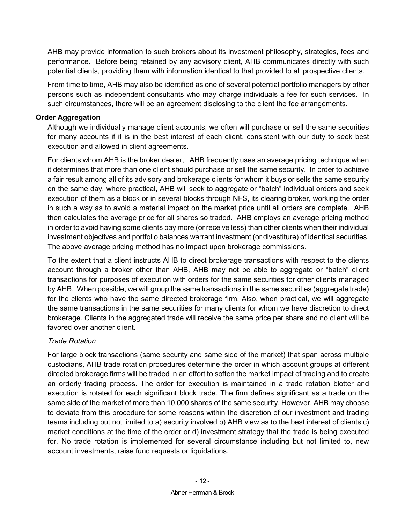AHB may provide information to such brokers about its investment philosophy, strategies, fees and performance. Before being retained by any advisory client, AHB communicates directly with such potential clients, providing them with information identical to that provided to all prospective clients.

From time to time, AHB may also be identified as one of several potential portfolio managers by other persons such as independent consultants who may charge individuals a fee for such services. In such circumstances, there will be an agreement disclosing to the client the fee arrangements.

### <span id="page-15-0"></span>**Order Aggregation**

Although we individually manage client accounts, we often will purchase or sell the same securities for many accounts if it is in the best interest of each client, consistent with our duty to seek best execution and allowed in client agreements.

For clients whom AHB is the broker dealer, AHB frequently uses an average pricing technique when it determines that more than one client should purchase or sell the same security. In order to achieve a fair result among all of its advisory and brokerage clients for whom it buys or sells the same security on the same day, where practical, AHB will seek to aggregate or "batch" individual orders and seek execution of them as a block or in several blocks through NFS, its clearing broker, working the order in such a way as to avoid a material impact on the market price until all orders are complete. AHB then calculates the average price for all shares so traded. AHB employs an average pricing method in order to avoid having some clients pay more (or receive less) than other clients when their individual investment objectives and portfolio balances warrant investment (or divestiture) of identical securities. The above average pricing method has no impact upon brokerage commissions.

To the extent that a client instructs AHB to direct brokerage transactions with respect to the clients account through a broker other than AHB, AHB may not be able to aggregate or "batch" client transactions for purposes of execution with orders for the same securities for other clients managed by AHB. When possible, we will group the same transactions in the same securities (aggregate trade) for the clients who have the same directed brokerage firm. Also, when practical, we will aggregate the same transactions in the same securities for many clients for whom we have discretion to direct brokerage. Clients in the aggregated trade will receive the same price per share and no client will be favored over another client.

## *Trade Rotation*

For large block transactions (same security and same side of the market) that span across multiple custodians, AHB trade rotation procedures determine the order in which account groups at different directed brokerage firms will be traded in an effort to soften the market impact of trading and to create an orderly trading process. The order for execution is maintained in a trade rotation blotter and execution is rotated for each significant block trade. The firm defines significant as a trade on the same side of the market of more than 10,000 shares of the same security. However, AHB may choose to deviate from this procedure for some reasons within the discretion of our investment and trading teams including but not limited to a) security involved b) AHB view as to the best interest of clients c) market conditions at the time of the order or d) investment strategy that the trade is being executed for. No trade rotation is implemented for several circumstance including but not limited to, new account investments, raise fund requests or liquidations.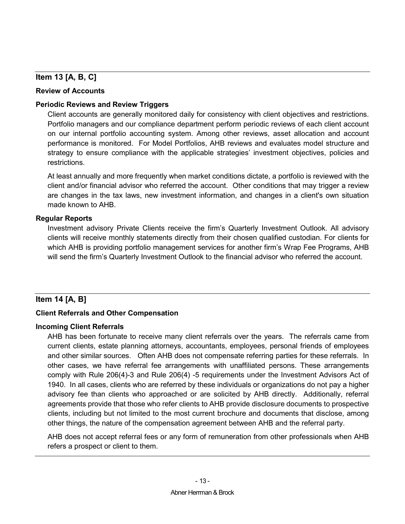## **Item 13 [A, B, C]**

### <span id="page-16-0"></span>**Review of Accounts**

### <span id="page-16-1"></span>**Periodic Reviews and Review Triggers**

Client accounts are generally monitored daily for consistency with client objectives and restrictions. Portfolio managers and our compliance department perform periodic reviews of each client account on our internal portfolio accounting system. Among other reviews, asset allocation and account performance is monitored. For Model Portfolios, AHB reviews and evaluates model structure and strategy to ensure compliance with the applicable strategies' investment objectives, policies and restrictions.

At least annually and more frequently when market conditions dictate, a portfolio is reviewed with the client and/or financial advisor who referred the account. Other conditions that may trigger a review are changes in the tax laws, new investment information, and changes in a client's own situation made known to AHB.

## <span id="page-16-2"></span>**Regular Reports**

Investment advisory Private Clients receive the firm's Quarterly Investment Outlook. All advisory clients will receive monthly statements directly from their chosen qualified custodian. For clients for which AHB is providing portfolio management services for another firm's Wrap Fee Programs, AHB will send the firm's Quarterly Investment Outlook to the financial advisor who referred the account.

## **Item 14 [A, B]**

## <span id="page-16-3"></span>**Client Referrals and Other Compensation**

## <span id="page-16-4"></span>**Incoming Client Referrals**

AHB has been fortunate to receive many client referrals over the years. The referrals came from current clients, estate planning attorneys, accountants, employees, personal friends of employees and other similar sources. Often AHB does not compensate referring parties for these referrals. In other cases, we have referral fee arrangements with unaffiliated persons. These arrangements comply with Rule 206(4)-3 and Rule 206(4) -5 requirements under the Investment Advisors Act of 1940. In all cases, clients who are referred by these individuals or organizations do not pay a higher advisory fee than clients who approached or are solicited by AHB directly. Additionally, referral agreements provide that those who refer clients to AHB provide disclosure documents to prospective clients, including but not limited to the most current brochure and documents that disclose, among other things, the nature of the compensation agreement between AHB and the referral party.

AHB does not accept referral fees or any form of remuneration from other professionals when AHB refers a prospect or client to them.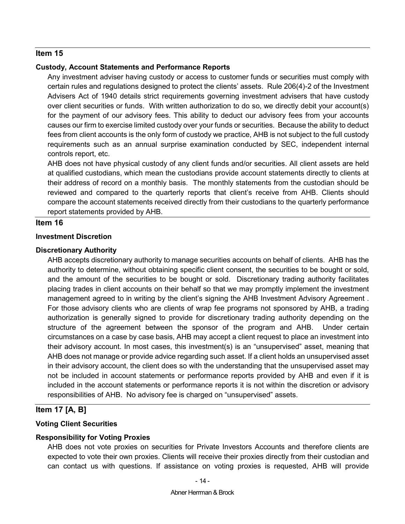#### <span id="page-17-0"></span>**Custody, Account Statements and Performance Reports**

Any investment adviser having custody or access to customer funds or securities must comply with certain rules and regulations designed to protect the clients' assets. Rule 206(4)-2 of the Investment Advisers Act of 1940 details strict requirements governing investment advisers that have custody over client securities or funds. With written authorization to do so, we directly debit your account(s) for the payment of our advisory fees. This ability to deduct our advisory fees from your accounts causes our firm to exercise limited custody over your funds or securities. Because the ability to deduct fees from client accounts is the only form of custody we practice, AHB is not subject to the full custody requirements such as an annual surprise examination conducted by SEC, independent internal controls report, etc.

AHB does not have physical custody of any client funds and/or securities. All client assets are held at qualified custodians, which mean the custodians provide account statements directly to clients at their address of record on a monthly basis. The monthly statements from the custodian should be reviewed and compared to the quarterly reports that client's receive from AHB. Clients should compare the account statements received directly from their custodians to the quarterly performance report statements provided by AHB.

### **Item 16**

#### <span id="page-17-1"></span>**Investment Discretion**

#### <span id="page-17-2"></span>**Discretionary Authority**

AHB accepts discretionary authority to manage securities accounts on behalf of clients. AHB has the authority to determine, without obtaining specific client consent, the securities to be bought or sold, and the amount of the securities to be bought or sold. Discretionary trading authority facilitates placing trades in client accounts on their behalf so that we may promptly implement the investment management agreed to in writing by the client's signing the AHB Investment Advisory Agreement . For those advisory clients who are clients of wrap fee programs not sponsored by AHB, a trading authorization is generally signed to provide for discretionary trading authority depending on the structure of the agreement between the sponsor of the program and AHB. Under certain circumstances on a case by case basis, AHB may accept a client request to place an investment into their advisory account. In most cases, this investment(s) is an "unsupervised" asset, meaning that AHB does not manage or provide advice regarding such asset. If a client holds an unsupervised asset in their advisory account, the client does so with the understanding that the unsupervised asset may not be included in account statements or performance reports provided by AHB and even if it is included in the account statements or performance reports it is not within the discretion or advisory responsibilities of AHB. No advisory fee is charged on "unsupervised" assets.

## **Item 17 [A, B]**

### <span id="page-17-3"></span>**Voting Client Securities**

### <span id="page-17-4"></span>**Responsibility for Voting Proxies**

AHB does not vote proxies on securities for Private Investors Accounts and therefore clients are expected to vote their own proxies. Clients will receive their proxies directly from their custodian and can contact us with questions. If assistance on voting proxies is requested, AHB will provide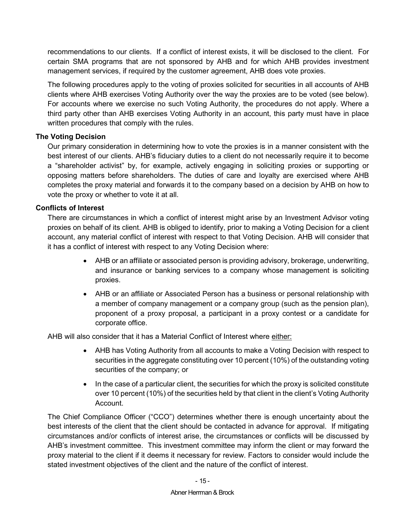recommendations to our clients. If a conflict of interest exists, it will be disclosed to the client. For certain SMA programs that are not sponsored by AHB and for which AHB provides investment management services, if required by the customer agreement, AHB does vote proxies.

The following procedures apply to the voting of proxies solicited for securities in all accounts of AHB clients where AHB exercises Voting Authority over the way the proxies are to be voted (see below). For accounts where we exercise no such Voting Authority, the procedures do not apply. Where a third party other than AHB exercises Voting Authority in an account, this party must have in place written procedures that comply with the rules.

## <span id="page-18-0"></span>**The Voting Decision**

Our primary consideration in determining how to vote the proxies is in a manner consistent with the best interest of our clients. AHB's fiduciary duties to a client do not necessarily require it to become a "shareholder activist" by, for example, actively engaging in soliciting proxies or supporting or opposing matters before shareholders. The duties of care and loyalty are exercised where AHB completes the proxy material and forwards it to the company based on a decision by AHB on how to vote the proxy or whether to vote it at all.

### <span id="page-18-1"></span>**Conflicts of Interest**

There are circumstances in which a conflict of interest might arise by an Investment Advisor voting proxies on behalf of its client. AHB is obliged to identify, prior to making a Voting Decision for a client account, any material conflict of interest with respect to that Voting Decision. AHB will consider that it has a conflict of interest with respect to any Voting Decision where:

- AHB or an affiliate or associated person is providing advisory, brokerage, underwriting, and insurance or banking services to a company whose management is soliciting proxies.
- AHB or an affiliate or Associated Person has a business or personal relationship with a member of company management or a company group (such as the pension plan), proponent of a proxy proposal, a participant in a proxy contest or a candidate for corporate office.

AHB will also consider that it has a Material Conflict of Interest where either:

- AHB has Voting Authority from all accounts to make a Voting Decision with respect to securities in the aggregate constituting over 10 percent (10%) of the outstanding voting securities of the company; or
- In the case of a particular client, the securities for which the proxy is solicited constitute over 10 percent (10%) of the securities held by that client in the client's Voting Authority Account.

The Chief Compliance Officer ("CCO") determines whether there is enough uncertainty about the best interests of the client that the client should be contacted in advance for approval. If mitigating circumstances and/or conflicts of interest arise, the circumstances or conflicts will be discussed by AHB's investment committee. This investment committee may inform the client or may forward the proxy material to the client if it deems it necessary for review. Factors to consider would include the stated investment objectives of the client and the nature of the conflict of interest.